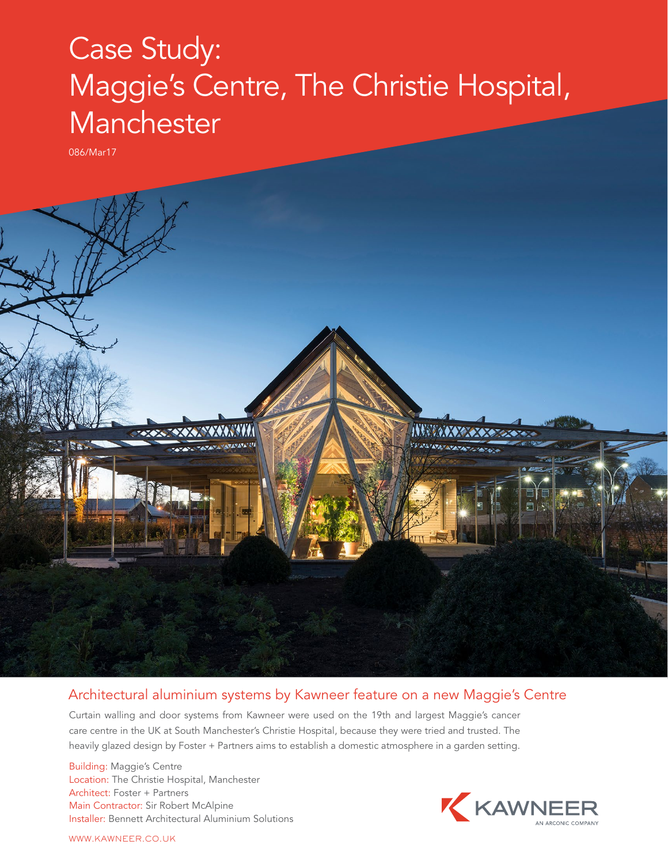## Case Study: Maggie's Centre, The Christie Hospital, **Manchester**

086/Mar17



## Architectural aluminium systems by Kawneer feature on a new Maggie's Centre

Curtain walling and door systems from Kawneer were used on the 19th and largest Maggie's cancer care centre in the UK at South Manchester's Christie Hospital, because they were tried and trusted. The heavily glazed design by Foster + Partners aims to establish a domestic atmosphere in a garden setting.

Building: Maggie's Centre Location: The Christie Hospital, Manchester Architect: Foster + Partners Main Contractor: Sir Robert McAlpine Installer: Bennett Architectural Aluminium Solutions



WWW.KAWNEER.CO.UK